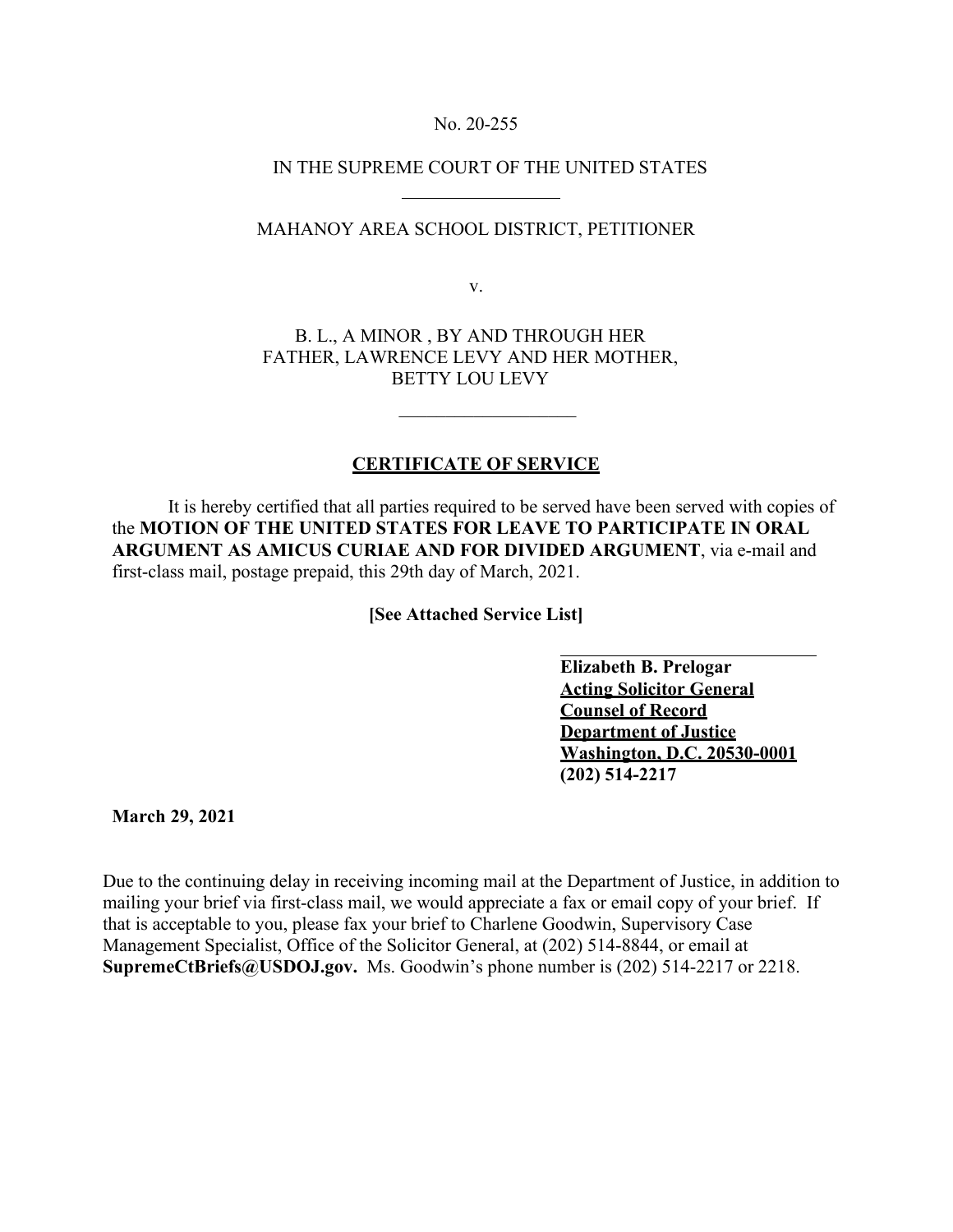## No. 20-255

## IN THE SUPREME COURT OF THE UNITED STATES

## MAHANOY AREA SCHOOL DISTRICT, PETITIONER

v.

B. L., A MINOR , BY AND THROUGH HER FATHER, LAWRENCE LEVY AND HER MOTHER, BETTY LOU LEVY

## **CERTIFICATE OF SERVICE**

 $\mathcal{L}=\frac{1}{2}$  , which is a set of the set of the set of the set of the set of the set of the set of the set of the set of the set of the set of the set of the set of the set of the set of the set of the set of the set o

It is hereby certified that all parties required to be served have been served with copies of the **MOTION OF THE UNITED STATES FOR LEAVE TO PARTICIPATE IN ORAL ARGUMENT AS AMICUS CURIAE AND FOR DIVIDED ARGUMENT**, via e-mail and first-class mail, postage prepaid, this 29th day of March, 2021.

**[See Attached Service List]**

**Elizabeth B. Prelogar Acting Solicitor General Counsel of Record Department of Justice Washington, D.C. 20530-0001 (202) 514-2217** 

**March 29, 2021** 

Due to the continuing delay in receiving incoming mail at the Department of Justice, in addition to mailing your brief via first-class mail, we would appreciate a fax or email copy of your brief. If that is acceptable to you, please fax your brief to Charlene Goodwin, Supervisory Case Management Specialist, Office of the Solicitor General, at (202) 514-8844, or email at **SupremeCtBriefs@USDOJ.gov.** Ms. Goodwin's phone number is (202) 514-2217 or 2218.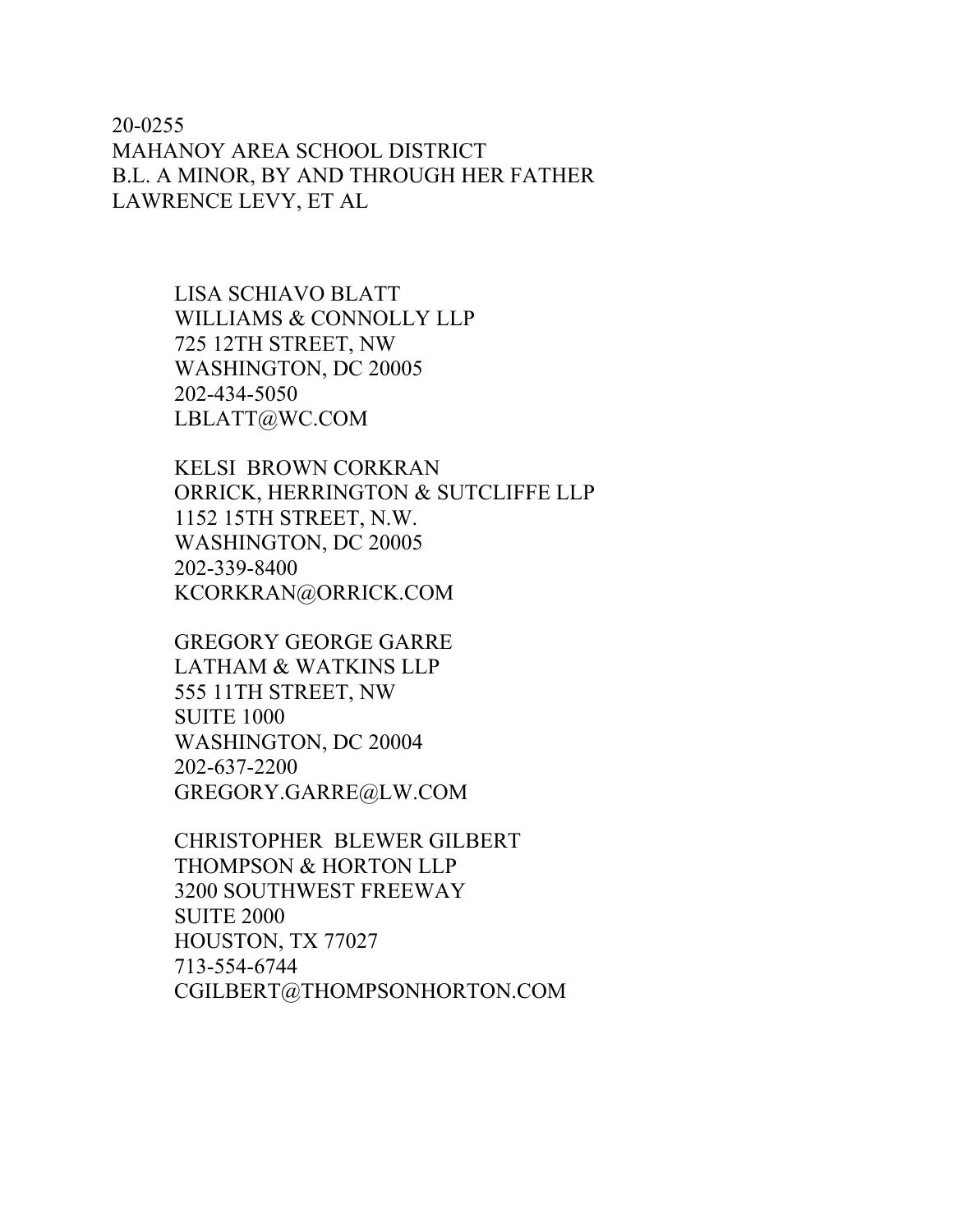20-0255 MAHANOY AREA SCHOOL DISTRICT B.L. A MINOR, BY AND THROUGH HER FATHER LAWRENCE LEVY, ET AL

> LISA SCHIAVO BLATT WILLIAMS & CONNOLLY LLP 725 12TH STREET, NW WASHINGTON, DC 20005 202-434-5050 LBLATT@WC.COM

KELSI BROWN CORKRAN ORRICK, HERRINGTON & SUTCLIFFE LLP 1152 15TH STREET, N.W. WASHINGTON, DC 20005 202-339-8400 KCORKRAN@ORRICK.COM

GREGORY GEORGE GARRE LATHAM & WATKINS LLP 555 11TH STREET, NW SUITE 1000 WASHINGTON, DC 20004 202-637-2200 GREGORY.GARRE@LW.COM

CHRISTOPHER BLEWER GILBERT THOMPSON & HORTON LLP 3200 SOUTHWEST FREEWAY SUITE 2000 HOUSTON, TX 77027 713-554-6744 CGILBERT@THOMPSONHORTON.COM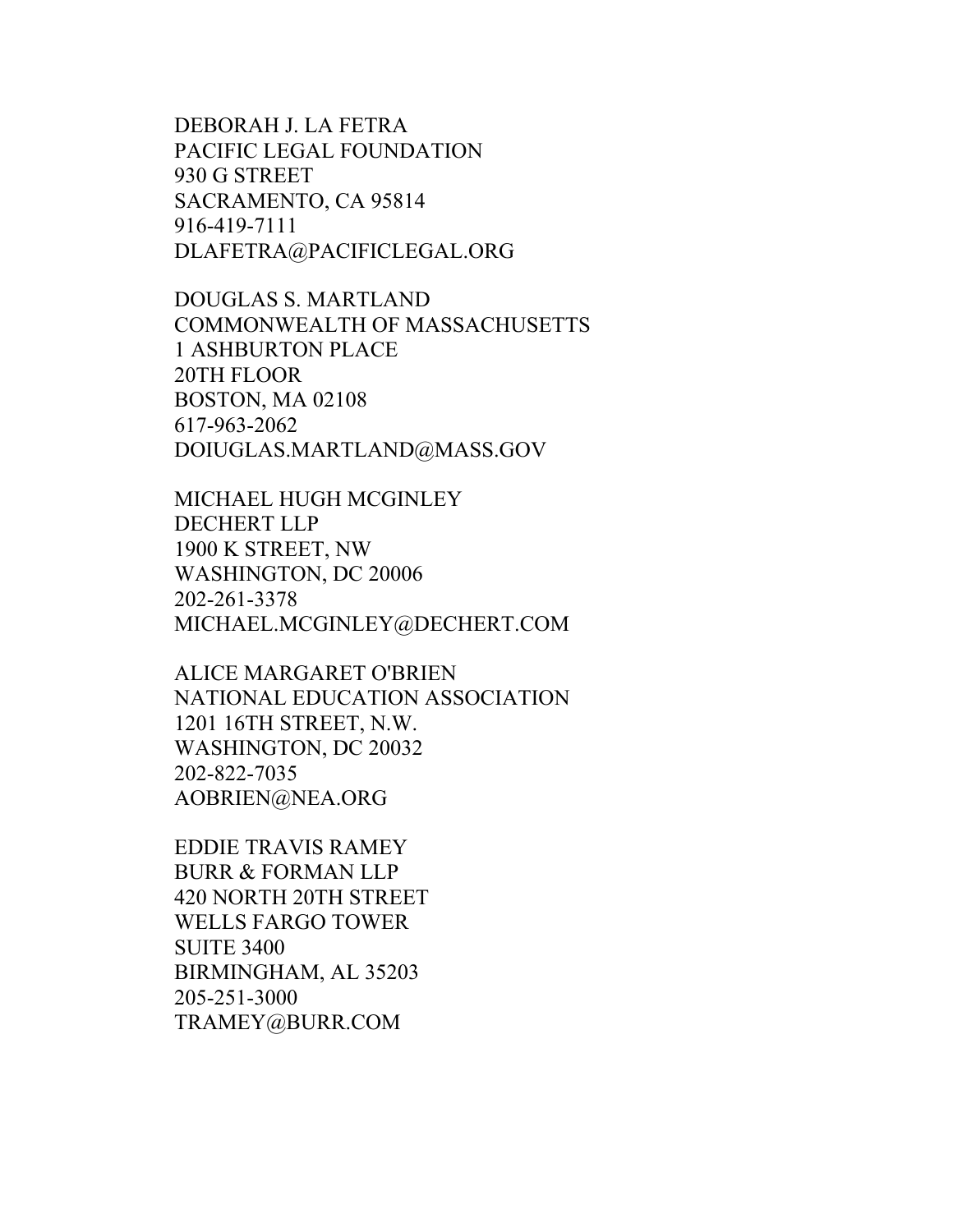DEBORAH J. LA FETRA PACIFIC LEGAL FOUNDATION 930 G STREET SACRAMENTO, CA 95814 916-419-7111 DLAFETRA@PACIFICLEGAL.ORG

DOUGLAS S. MARTLAND COMMONWEALTH OF MASSACHUSETTS 1 ASHBURTON PLACE 20TH FLOOR BOSTON, MA 02108 617-963-2062 DOIUGLAS.MARTLAND@MASS.GOV

MICHAEL HUGH MCGINLEY DECHERT LLP 1900 K STREET, NW WASHINGTON, DC 20006 202-261-3378 MICHAEL.MCGINLEY@DECHERT.COM

ALICE MARGARET O'BRIEN NATIONAL EDUCATION ASSOCIATION 1201 16TH STREET, N.W. WASHINGTON, DC 20032 202-822-7035 AOBRIEN@NEA.ORG

EDDIE TRAVIS RAMEY BURR & FORMAN LLP 420 NORTH 20TH STREET WELLS FARGO TOWER SUITE 3400 BIRMINGHAM, AL 35203 205-251-3000 TRAMEY@BURR.COM